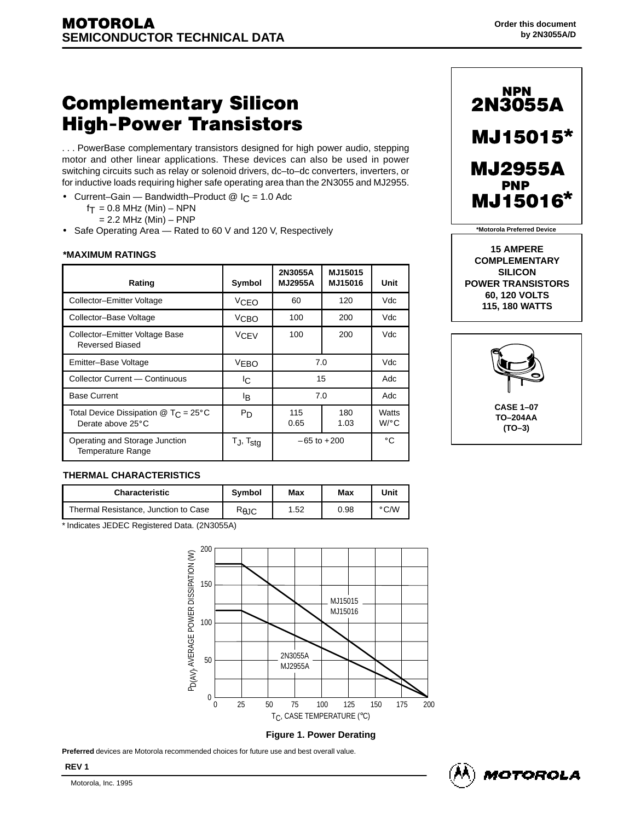# **Complementary Silicon High-Power Transistors**

. . . PowerBase complementary transistors designed for high power audio, stepping motor and other linear applications. These devices can also be used in power switching circuits such as relay or solenoid drivers, dc–to–dc converters, inverters, or for inductive loads requiring higher safe operating area than the 2N3055 and MJ2955.

- Current–Gain Bandwidth–Product  $@$  I<sub>C</sub> = 1.0 Adc
	- $f_T = 0.8$  MHz (Min) NPN
	-
- Safe Operating Area Rated to 60 V and 120 V, Respectively

| *MAXIMUM RATINGS                                                                      |                          |                           |                    |                               | שנושום ווזות שו<br><b>COMPLEMENTARY</b>       |
|---------------------------------------------------------------------------------------|--------------------------|---------------------------|--------------------|-------------------------------|-----------------------------------------------|
| Rating                                                                                | Symbol                   | 2N3055A<br><b>MJ2955A</b> | MJ15015<br>MJ15016 | Unit                          | <b>SILICON</b><br><b>POWER TRANSISTORS</b>    |
| Collector-Emitter Voltage                                                             | VCEO                     | 60                        | 120                | Vdc                           | <b>60, 120 VOLTS</b><br><b>115, 180 WATTS</b> |
| Collector-Base Voltage                                                                | V <sub>CBO</sub>         | 100                       | 200                | Vdc                           |                                               |
| Collector-Emitter Voltage Base<br><b>Reversed Biased</b>                              | <b>VCEV</b>              | 100                       | 200                | Vdc                           |                                               |
| Emitter-Base Voltage                                                                  | <b>VEBO</b>              |                           | 7.0                | Vdc                           |                                               |
| Collector Current — Continuous                                                        | IC.                      |                           | 15                 | Adc                           |                                               |
| <b>Base Current</b>                                                                   | ΙB                       |                           | 7.0                | Adc                           |                                               |
| Total Device Dissipation $\textcircled{2}$ T <sub>C</sub> = 25°C<br>Derate above 25°C | P <sub>D</sub>           | 115<br>0.65               | 180<br>1.03        | Watts<br>$W$ <sup>o</sup> $C$ | <b>CASE 1-07</b><br>TO-204AA<br>$(TO-3)$      |
| Operating and Storage Junction<br>Temperature Range                                   | $T_J$ , $T_{\text{stq}}$ |                           | $-65$ to $+200$    | $^{\circ}$ C                  |                                               |



  $\mathbf{F}$  , and a sequence of the contract of the contract of the contract of the contract of the contract of the contract of the contract of the contract of the contract of the contract of the contract of the contract of 的,他们也不能在这里,他们的人们都不能在这里,他们的人们都不能在这里,他们的人们都不能在这里,他们的人们都不能在这里,他们的人们都不能在这里,他们的人们都不能在 的,他们也不能在这里,他们的人们都不能在这里,他们的人们都不能在这里,他们的人们都不能在这里,他们的人们都不能在这里,他们的人们都不能在这里,他们的人们都不能在 15 AMPERE<br>
COMPLEMENTARY<br>
COMPLEMENTARY **15 AMPERE COMPLEMENTARY 60, 120 VOLTS**



## **THERMAL CHARACTERISTICS**

|                                              | <b>THERMAL CHARACTERISTICS</b>       |                |     |      |      |  |
|----------------------------------------------|--------------------------------------|----------------|-----|------|------|--|
|                                              | <b>Characteristic</b>                | <b>Symbol</b>  | Max | Max  | Unit |  |
|                                              | Thermal Resistance, Junction to Case | $R_{\theta$ JC | .52 | 0.98 | °C∕W |  |
| * Indicates JEDEC Registered Data. (2N3055A) |                                      |                |     |      |      |  |



#### **Figure 1. Power Derating**

**Preferred** devices are Motorola recommended choices for future use and best overall value.

**REV 1**

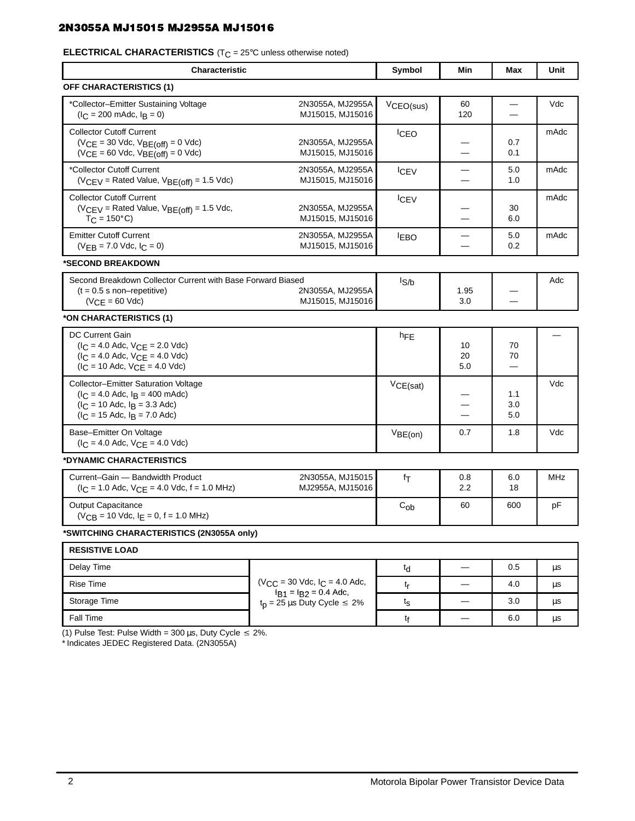### 2N3055A MJ15015 MJ2955A MJ15016 2010 10:00 10:00 10:00 10:00 10:00 10:00 10:00 10:00 10:00 10:00 10:00 10:00 1

# **ELECTRICAL CHARACTERISTICS** (T<sub>C</sub> = 25°C unless otherwise noted)<br>
————————————————————

| <b>Characteristic</b>                                                                                                                                 |                                                                          | Symbol                       | Min                                | Max                           | Unit       |
|-------------------------------------------------------------------------------------------------------------------------------------------------------|--------------------------------------------------------------------------|------------------------------|------------------------------------|-------------------------------|------------|
| OFF CHARACTERISTICS (1)                                                                                                                               |                                                                          |                              |                                    |                               |            |
| *Collector-Emitter Sustaining Voltage<br>$(I_C = 200 \text{ m}$ Adc, $I_B = 0$ )                                                                      | 2N3055A, MJ2955A<br>MJ15015, MJ15016                                     | VCEO(sus)                    | 60<br>120                          | $\overline{\phantom{0}}$      | Vdc        |
| <b>Collector Cutoff Current</b><br>$(VCE = 30$ Vdc, $VBE(off) = 0$ Vdc)<br>$(VCE = 60$ Vdc, $VBE(off) = 0$ Vdc)                                       | 2N3055A, MJ2955A<br>MJ15015, MJ15016                                     | <b>ICEO</b>                  | –<br>—                             | 0.7<br>0.1                    | mAdc       |
| *Collector Cutoff Current<br>$(VCEV = Rated Value, VBE(off) = 1.5 Vdc)$                                                                               | 2N3055A, MJ2955A<br>MJ15015, MJ15016                                     | <b>ICEV</b>                  | -<br>$\equiv$                      | 5.0<br>1.0                    | mAdc       |
| <b>Collector Cutoff Current</b><br>$(VCEV = Rated Value, VBE(off) = 1.5 Vdc,$<br>$T_{\rm C}$ = 150°C)                                                 | 2N3055A, MJ2955A<br>MJ15015, MJ15016                                     | <b>ICEV</b>                  | —<br>—                             | 30<br>6.0                     | mAdc       |
| <b>Emitter Cutoff Current</b><br>$(VFB = 7.0$ Vdc, $C = 0$ )                                                                                          | 2N3055A, MJ2955A<br>MJ15015, MJ15016                                     | <b>EBO</b>                   | —<br>$\overbrace{\phantom{13333}}$ | 5.0<br>0.2                    | mAdc       |
| *SECOND BREAKDOWN                                                                                                                                     |                                                                          |                              |                                    |                               |            |
| Second Breakdown Collector Current with Base Forward Biased<br>$(t = 0.5 s non-repetitive)$<br>$(VCE = 60$ Vdc)                                       | 2N3055A, MJ2955A<br>MJ15015, MJ15016                                     | $I_{S/b}$                    | 1.95<br>3.0                        | $\overline{\phantom{0}}$<br>— | Adc        |
| *ON CHARACTERISTICS (1)                                                                                                                               |                                                                          |                              |                                    |                               |            |
| <b>DC Current Gain</b><br>$(I_C = 4.0$ Adc, $V_{CE} = 2.0$ Vdc)<br>$(I_C = 4.0$ Adc, $V_{CE} = 4.0$ Vdc)<br>$(I_C = 10$ Adc, $V_{CE} = 4.0$ Vdc)      |                                                                          | hFE                          | 10<br>20<br>5.0                    | 70<br>70<br>—                 | —          |
| Collector-Emitter Saturation Voltage<br>$(I_C = 4.0$ Adc, $I_B = 400$ mAdc)<br>$(I_C = 10$ Adc, $I_B = 3.3$ Adc)<br>$(I_C = 15$ Adc, $I_B = 7.0$ Adc) |                                                                          | VCE(sat)                     | -<br>–<br>—                        | 1.1<br>3.0<br>5.0             | Vdc        |
| Base-Emitter On Voltage<br>$(I_C = 4.0$ Adc, $V_{CE} = 4.0$ Vdc)                                                                                      |                                                                          | VBE(on)                      | 0.7                                | 1.8                           | Vdc        |
| *DYNAMIC CHARACTERISTICS                                                                                                                              |                                                                          |                              |                                    |                               |            |
| Current-Gain - Bandwidth Product<br>$(I_C = 1.0$ Adc, $V_{CE} = 4.0$ Vdc, $f = 1.0$ MHz)                                                              | 2N3055A, MJ15015<br>MJ2955A, MJ15016                                     | fτ                           | 0.8<br>2.2                         | 6.0<br>18                     | <b>MHz</b> |
| Output Capacitance<br>$(V_{CB} = 10$ Vdc, $I_E = 0$ , $f = 1.0$ MHz)                                                                                  |                                                                          | $C_{ob}$                     | 60                                 | 600                           | pF         |
| *SWITCHING CHARACTERISTICS (2N3055A only)                                                                                                             |                                                                          |                              |                                    |                               |            |
| <b>RESISTIVE LOAD</b>                                                                                                                                 |                                                                          |                              |                                    |                               |            |
| Delay Time                                                                                                                                            |                                                                          | $t_{\rm d}$                  | $\equiv$                           | 0.5                           | μs         |
| Rise Time                                                                                                                                             | $(V_{CC} = 30$ Vdc, $I_C = 4.0$ Adc,                                     | $t_{\rm r}$                  | $\qquad \qquad$                    | 4.0                           | μs         |
| Storage Time                                                                                                                                          | $I_{B1} = I_{B2} = 0.4$ Adc,<br>$t_p = 25 \,\mu s$ Duty Cycle $\leq 2\%$ | $t_{\scriptstyle\textrm{S}}$ | $\overline{\phantom{m}}$           | 3.0                           | $\mu$ s    |
|                                                                                                                                                       |                                                                          |                              |                                    |                               |            |

и становите се применени в селото на селото на селото на селото на селото на селото на селото на селото на сел

Fall Time  $\begin{array}{|l|c|c|c|c|}\hline \text{Fall Time} & & & \text{if} & \text{--} & \text{6.0} \ \hline \end{array}$  (1) Pulse Test: Pulse Width = 300 µs, Duty Cycle  $\leq$  2%.

\* Indicates JEDEC Registered Data. (2N3055A)

. The contract of the contract of the contract of the contract of the contract of the contract of the contract of the contract of the contract of the contract of the contract of the contract of the contract of the contrac

 $-$  6.0

 $\mathbf{r}$  , and the contract of the contract of the contract of the contract of the contract of the contract of the contract of the contract of the contract of the contract of the contract of the contract of the contract o

 $t_f$   $-$  6.0  $\mu s$ 

. The contract of the contract of the contract of the contract of the contract of the contract of the contract of the contract of the contract of the contract of the contract of the contract of the contract of the contrac

the contract of the contract of the contract of the contract of the contract of the contract of the contract of

 $\blacksquare$  . The set of  $\blacksquare$ 

 $\mu s$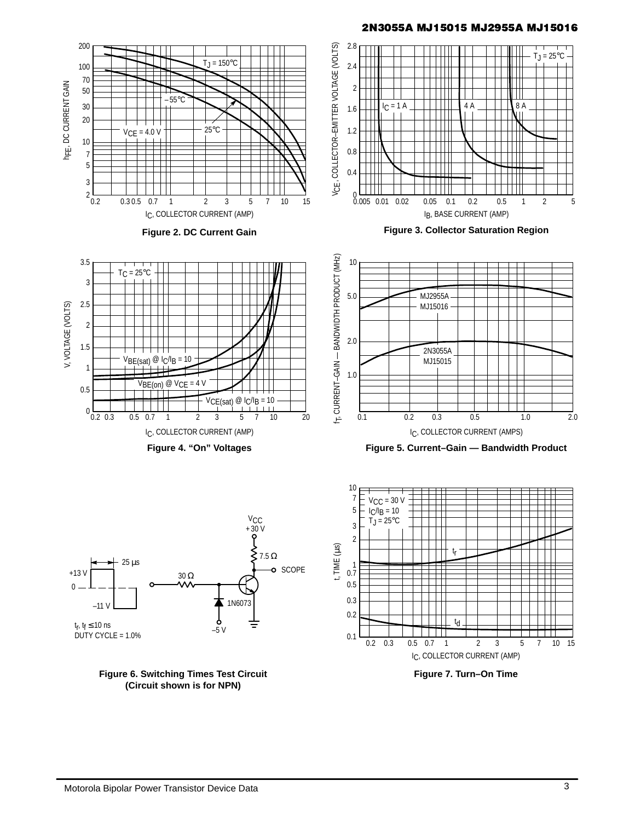#### 2N3055A MJ15015 MJ2955A MJ15016



**Figure 6. Switching Times Test Circuit (Circuit shown is for NPN)**

**Figure 7. Turn–On Time** IC, COLLECTOR CURRENT (AMP)

0.3 0.5 0.7 1 2 3 7 15

 $\overline{0.2}$ 

 $5$   $7$   $10$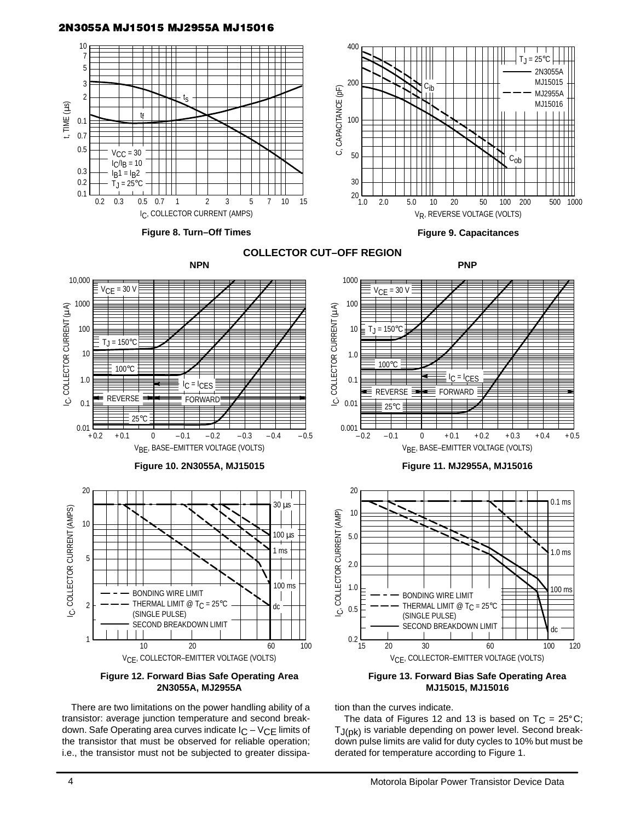### 2N3055A MJ15015 MJ2955A MJ15016



There are two limitations on the power handling ability of a transistor: average junction temperature and second breakdown. Safe Operating area curves indicate  $I_C - V_{CE}$  limits of the transistor that must be observed for reliable operation; i.e., the transistor must not be subjected to greater dissipation than the curves indicate.

The data of Figures 12 and 13 is based on  $T_C = 25^{\circ}C$ ; T<sub>J(pk)</sub> is variable depending on power level. Second breakdown pulse limits are valid for duty cycles to 10% but must be derated for temperature according to Figure 1.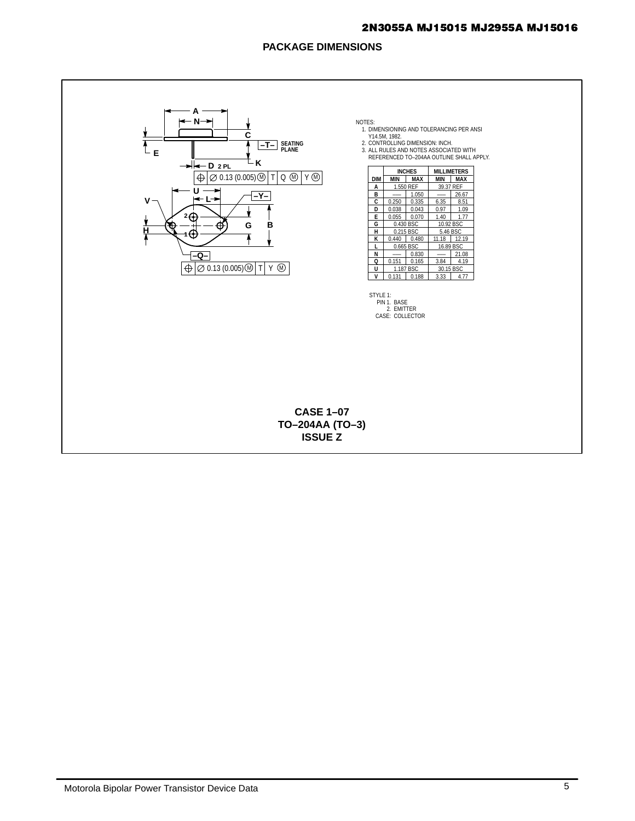#### 2N3055A MJ15015 MJ2955A MJ15016

### **PACKAGE DIMENSIONS**